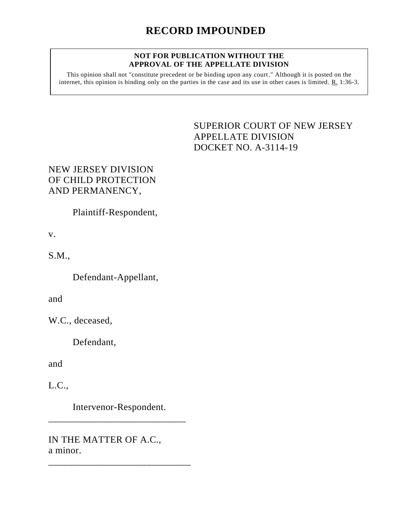#### **NOT FOR PUBLICATION WITHOUT THE APPROVAL OF THE APPELLATE DIVISION**

This opinion shall not "constitute precedent or be binding upon any court." Although it is posted on the internet, this opinion is binding only on the parties in the case and its use in other cases is limited. R. 1:36-3.

## <span id="page-0-0"></span>SUPERIOR COURT OF NEW JERSEY APPELLATE DIVISION DOCKET NO. A-3114-19

# NEW JERSEY DIVISION OF CHILD PROTECTION AND PERMANENCY,

Plaintiff-Respondent,

v.

S.M.,

Defendant-Appellant,

and

W.C., deceased,

Defendant,

and

L.C.,

Intervenor-Respondent.

\_\_\_\_\_\_\_\_\_\_\_\_\_\_\_\_\_\_\_\_\_\_\_\_\_\_\_\_

\_\_\_\_\_\_\_\_\_\_\_\_\_\_\_\_\_\_\_\_\_\_\_\_\_\_\_\_\_

IN THE MATTER OF A.C., a minor.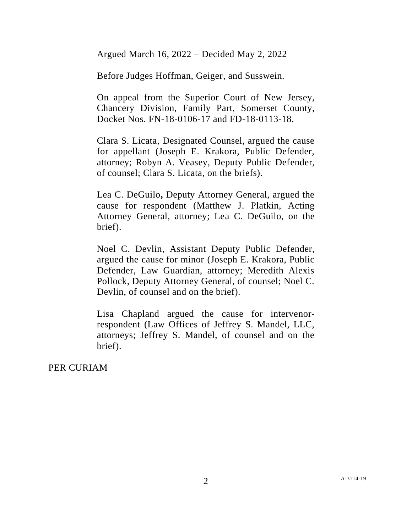Argued March 16, 2022 – Decided May 2, 2022

Before Judges Hoffman, Geiger, and Susswein.

On appeal from the Superior Court of New Jersey, Chancery Division, Family Part, Somerset County, Docket Nos. FN-18-0106-17 and FD-18-0113-18.

Clara S. Licata, Designated Counsel, argued the cause for appellant (Joseph E. Krakora, Public Defender, attorney; Robyn A. Veasey, Deputy Public Defender, of counsel; Clara S. Licata, on the briefs).

Lea C. DeGuilo**,** Deputy Attorney General, argued the cause for respondent (Matthew J. Platkin, Acting Attorney General, attorney; Lea C. DeGuilo, on the brief).

Noel C. Devlin, Assistant Deputy Public Defender, argued the cause for minor (Joseph E. Krakora, Public Defender, Law Guardian, attorney; Meredith Alexis Pollock, Deputy Attorney General, of counsel; Noel C. Devlin, of counsel and on the brief).

Lisa Chapland argued the cause for intervenorrespondent (Law Offices of Jeffrey S. Mandel, LLC, attorneys; Jeffrey S. Mandel, of counsel and on the brief).

PER CURIAM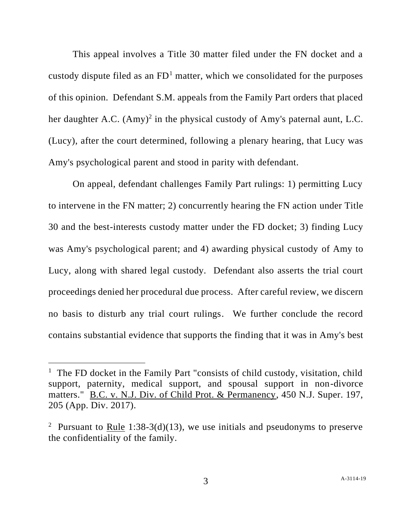This appeal involves a Title 30 matter filed under the FN docket and a custody dispute filed as an  $FD<sup>1</sup>$  matter, which we consolidated for the purposes of this opinion. Defendant S.M. appeals from the Family Part orders that placed her daughter A.C.  $(Amy)^2$  in the physical custody of Amy's paternal aunt, L.C. (Lucy), after the court determined, following a plenary hearing, that Lucy was Amy's psychological parent and stood in parity with defendant.

On appeal, defendant challenges Family Part rulings: 1) permitting Lucy to intervene in the FN matter; 2) concurrently hearing the FN action under Title 30 and the best-interests custody matter under the FD docket; 3) finding Lucy was Amy's psychological parent; and 4) awarding physical custody of Amy to Lucy, along with shared legal custody. Defendant also asserts the trial court proceedings denied her procedural due process. After careful review, we discern no basis to disturb any trial court rulings. We further conclude the record contains substantial evidence that supports the finding that it was in Amy's best

<sup>&</sup>lt;sup>1</sup> The FD docket in the Family Part "consists of child custody, visitation, child support, paternity, medical support, and spousal support in non-divorce matters." B.C. v. N.J. Div. of Child Prot. & Permanency, 450 N.J. Super. 197, 205 (App. Div. 2017).

<sup>&</sup>lt;sup>2</sup> Pursuant to <u>Rule</u> 1:38-3(d)(13), we use initials and pseudonyms to preserve the confidentiality of the family.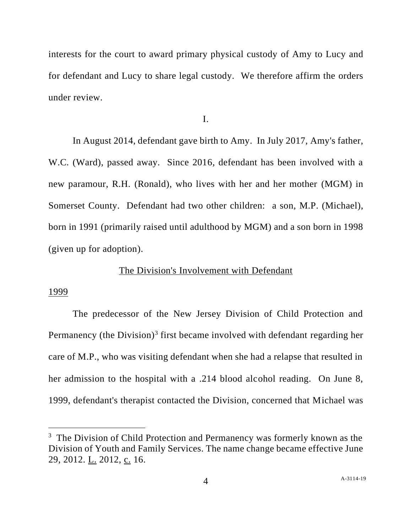interests for the court to award primary physical custody of Amy to Lucy and for defendant and Lucy to share legal custody. We therefore affirm the orders under review.

I.

In August 2014, defendant gave birth to Amy. In July 2017, Amy's father, W.C. (Ward), passed away. Since 2016, defendant has been involved with a new paramour, R.H. (Ronald), who lives with her and her mother (MGM) in Somerset County. Defendant had two other children: a son, M.P. (Michael), born in 1991 (primarily raised until adulthood by MGM) and a son born in 1998 (given up for adoption).

## The Division's Involvement with Defendant

#### 1999

The predecessor of the New Jersey Division of Child Protection and Permanency (the Division)<sup>3</sup> first became involved with defendant regarding her care of M.P., who was visiting defendant when she had a relapse that resulted in her admission to the hospital with a .214 blood alcohol reading. On June 8, 1999, defendant's therapist contacted the Division, concerned that Michael was

 $3$  The Division of Child Protection and Permanency was formerly known as the Division of Youth and Family Services. The name change became effective June 29, 2012. L. 2012, c. 16.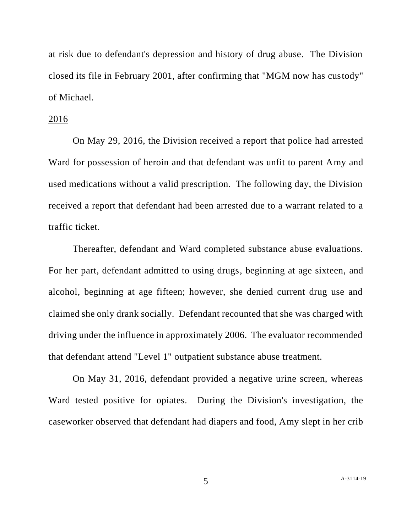at risk due to defendant's depression and history of drug abuse. The Division closed its file in February 2001, after confirming that "MGM now has custody" of Michael.

## 2016

On May 29, 2016, the Division received a report that police had arrested Ward for possession of heroin and that defendant was unfit to parent Amy and used medications without a valid prescription. The following day, the Division received a report that defendant had been arrested due to a warrant related to a traffic ticket.

Thereafter, defendant and Ward completed substance abuse evaluations. For her part, defendant admitted to using drugs, beginning at age sixteen, and alcohol, beginning at age fifteen; however, she denied current drug use and claimed she only drank socially. Defendant recounted that she was charged with driving under the influence in approximately 2006. The evaluator recommended that defendant attend "Level 1" outpatient substance abuse treatment.

On May 31, 2016, defendant provided a negative urine screen, whereas Ward tested positive for opiates. During the Division's investigation, the caseworker observed that defendant had diapers and food, Amy slept in her crib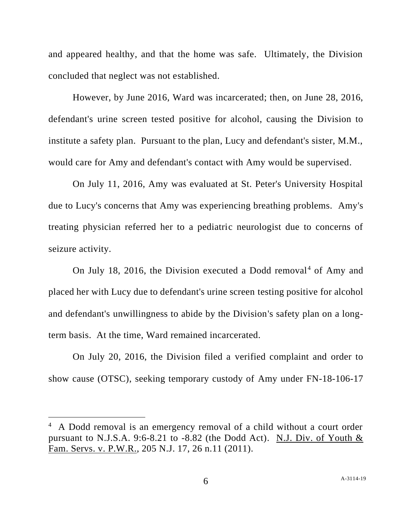and appeared healthy, and that the home was safe. Ultimately, the Division concluded that neglect was not established.

However, by June 2016, Ward was incarcerated; then, on June 28, 2016, defendant's urine screen tested positive for alcohol, causing the Division to institute a safety plan. Pursuant to the plan, Lucy and defendant's sister, M.M., would care for Amy and defendant's contact with Amy would be supervised.

On July 11, 2016, Amy was evaluated at St. Peter's University Hospital due to Lucy's concerns that Amy was experiencing breathing problems. Amy's treating physician referred her to a pediatric neurologist due to concerns of seizure activity.

On July 18, 2016, the Division executed a Dodd removal<sup>4</sup> of Amy and placed her with Lucy due to defendant's urine screen testing positive for alcohol and defendant's unwillingness to abide by the Division's safety plan on a longterm basis. At the time, Ward remained incarcerated.

On July 20, 2016, the Division filed a verified complaint and order to show cause (OTSC), seeking temporary custody of Amy under FN-18-106-17

<sup>&</sup>lt;sup>4</sup> A Dodd removal is an emergency removal of a child without a court order pursuant to N.J.S.A. 9:6-8.21 to  $-8.82$  (the Dodd Act). N.J. Div. of Youth & Fam. Servs. v. P.W.R., 205 N.J. 17, 26 n.11 (2011).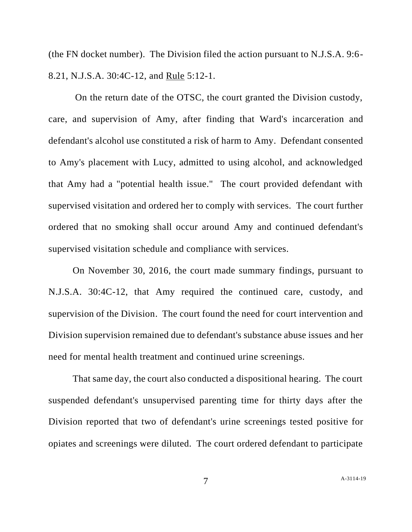(the FN docket number). The Division filed the action pursuant to N.J.S.A. 9:6- 8.21, N.J.S.A. 30:4C-12, and Rule 5:12-1.

On the return date of the OTSC, the court granted the Division custody, care, and supervision of Amy, after finding that Ward's incarceration and defendant's alcohol use constituted a risk of harm to Amy. Defendant consented to Amy's placement with Lucy, admitted to using alcohol, and acknowledged that Amy had a "potential health issue." The court provided defendant with supervised visitation and ordered her to comply with services. The court further ordered that no smoking shall occur around Amy and continued defendant's supervised visitation schedule and compliance with services.

On November 30, 2016, the court made summary findings, pursuant to N.J.S.A. 30:4C-12, that Amy required the continued care, custody, and supervision of the Division. The court found the need for court intervention and Division supervision remained due to defendant's substance abuse issues and her need for mental health treatment and continued urine screenings.

That same day, the court also conducted a dispositional hearing. The court suspended defendant's unsupervised parenting time for thirty days after the Division reported that two of defendant's urine screenings tested positive for opiates and screenings were diluted. The court ordered defendant to participate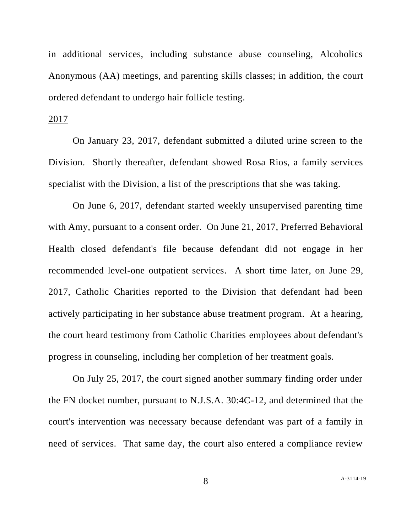in additional services, including substance abuse counseling, Alcoholics Anonymous (AA) meetings, and parenting skills classes; in addition, the court ordered defendant to undergo hair follicle testing.

#### 2017

On January 23, 2017, defendant submitted a diluted urine screen to the Division. Shortly thereafter, defendant showed Rosa Rios, a family services specialist with the Division, a list of the prescriptions that she was taking.

On June 6, 2017, defendant started weekly unsupervised parenting time with Amy, pursuant to a consent order. On June 21, 2017, Preferred Behavioral Health closed defendant's file because defendant did not engage in her recommended level-one outpatient services. A short time later, on June 29, 2017, Catholic Charities reported to the Division that defendant had been actively participating in her substance abuse treatment program. At a hearing, the court heard testimony from Catholic Charities employees about defendant's progress in counseling, including her completion of her treatment goals.

On July 25, 2017, the court signed another summary finding order under the FN docket number, pursuant to N.J.S.A. 30:4C-12, and determined that the court's intervention was necessary because defendant was part of a family in need of services. That same day, the court also entered a compliance review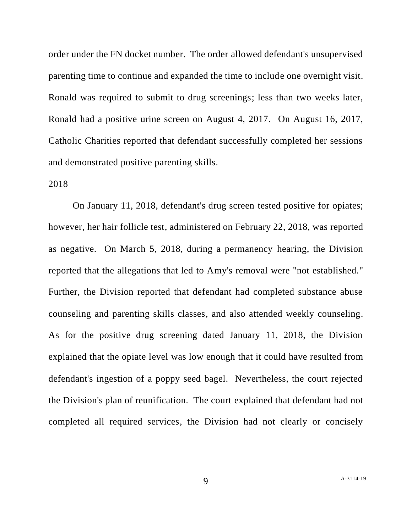order under the FN docket number. The order allowed defendant's unsupervised parenting time to continue and expanded the time to include one overnight visit. Ronald was required to submit to drug screenings; less than two weeks later, Ronald had a positive urine screen on August 4, 2017. On August 16, 2017, Catholic Charities reported that defendant successfully completed her sessions and demonstrated positive parenting skills.

## 2018

On January 11, 2018, defendant's drug screen tested positive for opiates; however, her hair follicle test, administered on February 22, 2018, was reported as negative. On March 5, 2018, during a permanency hearing, the Division reported that the allegations that led to Amy's removal were "not established." Further, the Division reported that defendant had completed substance abuse counseling and parenting skills classes, and also attended weekly counseling. As for the positive drug screening dated January 11, 2018, the Division explained that the opiate level was low enough that it could have resulted from defendant's ingestion of a poppy seed bagel. Nevertheless, the court rejected the Division's plan of reunification. The court explained that defendant had not completed all required services, the Division had not clearly or concisely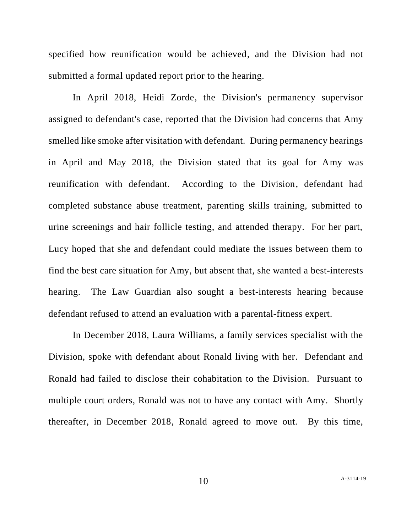specified how reunification would be achieved, and the Division had not submitted a formal updated report prior to the hearing.

In April 2018, Heidi Zorde, the Division's permanency supervisor assigned to defendant's case, reported that the Division had concerns that Amy smelled like smoke after visitation with defendant. During permanency hearings in April and May 2018, the Division stated that its goal for Amy was reunification with defendant. According to the Division, defendant had completed substance abuse treatment, parenting skills training, submitted to urine screenings and hair follicle testing, and attended therapy. For her part, Lucy hoped that she and defendant could mediate the issues between them to find the best care situation for Amy, but absent that, she wanted a best-interests hearing. The Law Guardian also sought a best-interests hearing because defendant refused to attend an evaluation with a parental-fitness expert.

In December 2018, Laura Williams, a family services specialist with the Division, spoke with defendant about Ronald living with her. Defendant and Ronald had failed to disclose their cohabitation to the Division. Pursuant to multiple court orders, Ronald was not to have any contact with Amy. Shortly thereafter, in December 2018, Ronald agreed to move out. By this time,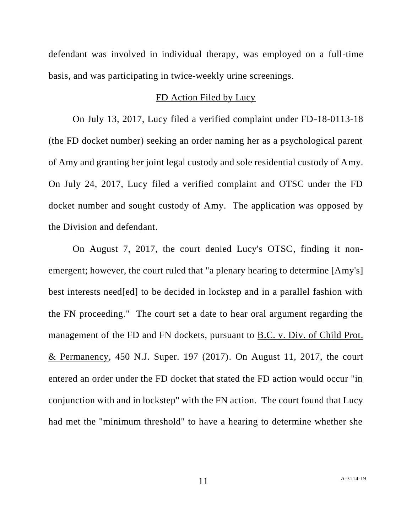defendant was involved in individual therapy, was employed on a full-time basis, and was participating in twice-weekly urine screenings.

#### FD Action Filed by Lucy

On July 13, 2017, Lucy filed a verified complaint under FD-18-0113-18 (the FD docket number) seeking an order naming her as a psychological parent of Amy and granting her joint legal custody and sole residential custody of Amy. On July 24, 2017, Lucy filed a verified complaint and OTSC under the FD docket number and sought custody of Amy. The application was opposed by the Division and defendant.

On August 7, 2017, the court denied Lucy's OTSC, finding it nonemergent; however, the court ruled that "a plenary hearing to determine [Amy's] best interests need[ed] to be decided in lockstep and in a parallel fashion with the FN proceeding." The court set a date to hear oral argument regarding the management of the FD and FN dockets, pursuant to <u>B.C. v. Div. of Child Prot.</u> & Permanency, 450 N.J. Super. 197 (2017). On August 11, 2017, the court entered an order under the FD docket that stated the FD action would occur "in conjunction with and in lockstep" with the FN action. The court found that Lucy had met the "minimum threshold" to have a hearing to determine whether she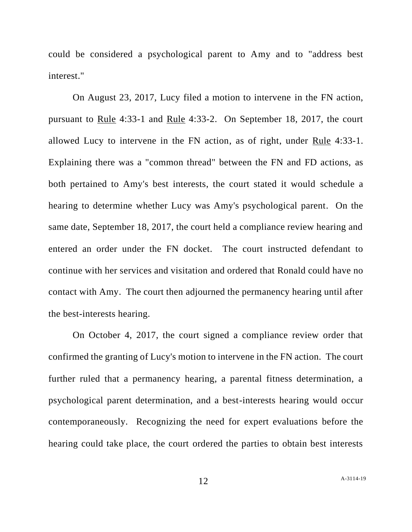could be considered a psychological parent to Amy and to "address best interest."

On August 23, 2017, Lucy filed a motion to intervene in the FN action, pursuant to Rule 4:33-1 and Rule 4:33-2. On September 18, 2017, the court allowed Lucy to intervene in the FN action, as of right, under Rule 4:33-1. Explaining there was a "common thread" between the FN and FD actions, as both pertained to Amy's best interests, the court stated it would schedule a hearing to determine whether Lucy was Amy's psychological parent. On the same date, September 18, 2017, the court held a compliance review hearing and entered an order under the FN docket. The court instructed defendant to continue with her services and visitation and ordered that Ronald could have no contact with Amy. The court then adjourned the permanency hearing until after the best-interests hearing.

On October 4, 2017, the court signed a compliance review order that confirmed the granting of Lucy's motion to intervene in the FN action. The court further ruled that a permanency hearing, a parental fitness determination, a psychological parent determination, and a best-interests hearing would occur contemporaneously. Recognizing the need for expert evaluations before the hearing could take place, the court ordered the parties to obtain best interests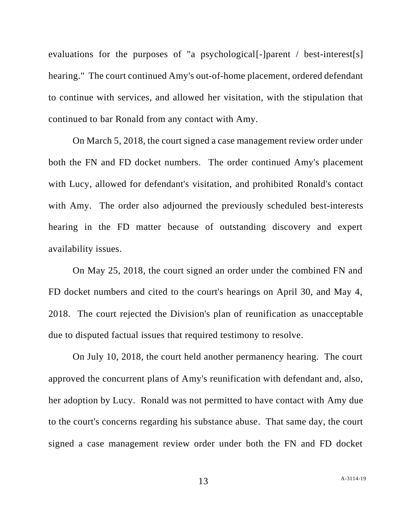evaluations for the purposes of "a psychological<sup>[-</sup>]parent / best-interest<sup>[s]</sup> hearing." The court continued Amy's out-of-home placement, ordered defendant to continue with services, and allowed her visitation, with the stipulation that continued to bar Ronald from any contact with Amy.

On March 5, 2018, the court signed a case management review order under both the FN and FD docket numbers. The order continued Amy's placement with Lucy, allowed for defendant's visitation, and prohibited Ronald's contact with Amy. The order also adjourned the previously scheduled best-interests hearing in the FD matter because of outstanding discovery and expert availability issues.

On May 25, 2018, the court signed an order under the combined FN and FD docket numbers and cited to the court's hearings on April 30, and May 4, 2018. The court rejected the Division's plan of reunification as unacceptable due to disputed factual issues that required testimony to resolve.

On July 10, 2018, the court held another permanency hearing. The court approved the concurrent plans of Amy's reunification with defendant and, also, her adoption by Lucy. Ronald was not permitted to have contact with Amy due to the court's concerns regarding his substance abuse. That same day, the court signed a case management review order under both the FN and FD docket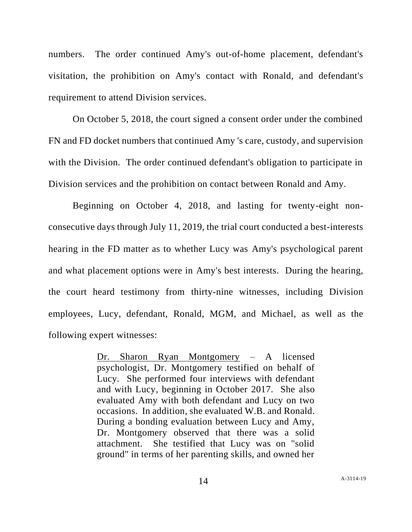numbers. The order continued Amy's out-of-home placement, defendant's visitation, the prohibition on Amy's contact with Ronald, and defendant's requirement to attend Division services.

On October 5, 2018, the court signed a consent order under the combined FN and FD docket numbers that continued Amy 's care, custody, and supervision with the Division. The order continued defendant's obligation to participate in Division services and the prohibition on contact between Ronald and Amy.

Beginning on October 4, 2018, and lasting for twenty-eight nonconsecutive days through July 11, 2019, the trial court conducted a best-interests hearing in the FD matter as to whether Lucy was Amy's psychological parent and what placement options were in Amy's best interests. During the hearing, the court heard testimony from thirty-nine witnesses, including Division employees, Lucy, defendant, Ronald, MGM, and Michael, as well as the following expert witnesses:

> Dr. Sharon Ryan Montgomery – A licensed psychologist, Dr. Montgomery testified on behalf of Lucy. She performed four interviews with defendant and with Lucy, beginning in October 2017. She also evaluated Amy with both defendant and Lucy on two occasions. In addition, she evaluated W.B. and Ronald. During a bonding evaluation between Lucy and Amy, Dr. Montgomery observed that there was a solid attachment. She testified that Lucy was on "solid ground" in terms of her parenting skills, and owned her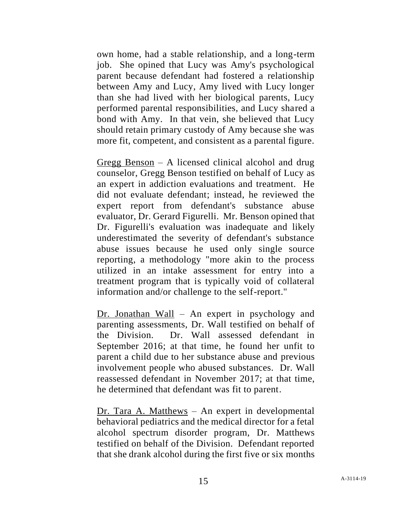own home, had a stable relationship, and a long-term job. She opined that Lucy was Amy's psychological parent because defendant had fostered a relationship between Amy and Lucy, Amy lived with Lucy longer than she had lived with her biological parents, Lucy performed parental responsibilities, and Lucy shared a bond with Amy. In that vein, she believed that Lucy should retain primary custody of Amy because she was more fit, competent, and consistent as a parental figure.

Gregg Benson – A licensed clinical alcohol and drug counselor, Gregg Benson testified on behalf of Lucy as an expert in addiction evaluations and treatment. He did not evaluate defendant; instead, he reviewed the expert report from defendant's substance abuse evaluator, Dr. Gerard Figurelli. Mr. Benson opined that Dr. Figurelli's evaluation was inadequate and likely underestimated the severity of defendant's substance abuse issues because he used only single source reporting, a methodology "more akin to the process utilized in an intake assessment for entry into a treatment program that is typically void of collateral information and/or challenge to the self-report."

Dr. Jonathan Wall – An expert in psychology and parenting assessments, Dr. Wall testified on behalf of the Division. Dr. Wall assessed defendant in September 2016; at that time, he found her unfit to parent a child due to her substance abuse and previous involvement people who abused substances. Dr. Wall reassessed defendant in November 2017; at that time, he determined that defendant was fit to parent.

Dr. Tara A. Matthews – An expert in developmental behavioral pediatrics and the medical director for a fetal alcohol spectrum disorder program, Dr. Matthews testified on behalf of the Division. Defendant reported that she drank alcohol during the first five or six months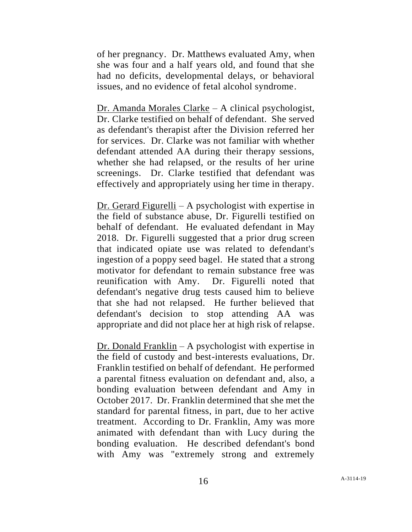of her pregnancy. Dr. Matthews evaluated Amy, when she was four and a half years old, and found that she had no deficits, developmental delays, or behavioral issues, and no evidence of fetal alcohol syndrome.

Dr. Amanda Morales Clarke – A clinical psychologist, Dr. Clarke testified on behalf of defendant. She served as defendant's therapist after the Division referred her for services. Dr. Clarke was not familiar with whether defendant attended AA during their therapy sessions, whether she had relapsed, or the results of her urine screenings. Dr. Clarke testified that defendant was effectively and appropriately using her time in therapy.

Dr. Gerard Figurelli – A psychologist with expertise in the field of substance abuse, Dr. Figurelli testified on behalf of defendant. He evaluated defendant in May 2018. Dr. Figurelli suggested that a prior drug screen that indicated opiate use was related to defendant's ingestion of a poppy seed bagel. He stated that a strong motivator for defendant to remain substance free was reunification with Amy. Dr. Figurelli noted that defendant's negative drug tests caused him to believe that she had not relapsed. He further believed that defendant's decision to stop attending AA was appropriate and did not place her at high risk of relapse.

Dr. Donald Franklin – A psychologist with expertise in the field of custody and best-interests evaluations, Dr. Franklin testified on behalf of defendant. He performed a parental fitness evaluation on defendant and, also, a bonding evaluation between defendant and Amy in October 2017. Dr. Franklin determined that she met the standard for parental fitness, in part, due to her active treatment. According to Dr. Franklin, Amy was more animated with defendant than with Lucy during the bonding evaluation. He described defendant's bond with Amy was "extremely strong and extremely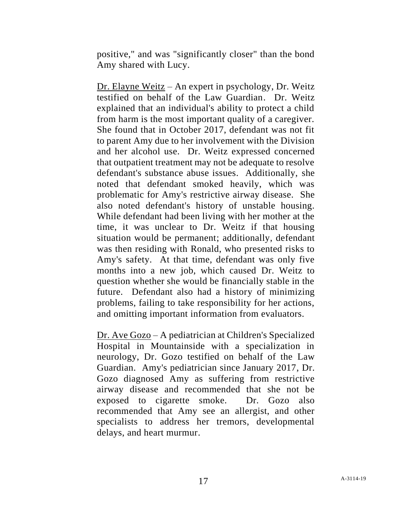positive," and was "significantly closer" than the bond Amy shared with Lucy.

Dr. Elayne Weitz – An expert in psychology, Dr. Weitz testified on behalf of the Law Guardian. Dr. Weitz explained that an individual's ability to protect a child from harm is the most important quality of a caregiver. She found that in October 2017, defendant was not fit to parent Amy due to her involvement with the Division and her alcohol use. Dr. Weitz expressed concerned that outpatient treatment may not be adequate to resolve defendant's substance abuse issues. Additionally, she noted that defendant smoked heavily, which was problematic for Amy's restrictive airway disease. She also noted defendant's history of unstable housing. While defendant had been living with her mother at the time, it was unclear to Dr. Weitz if that housing situation would be permanent; additionally, defendant was then residing with Ronald, who presented risks to Amy's safety. At that time, defendant was only five months into a new job, which caused Dr. Weitz to question whether she would be financially stable in the future. Defendant also had a history of minimizing problems, failing to take responsibility for her actions, and omitting important information from evaluators.

Dr. Ave Gozo – A pediatrician at Children's Specialized Hospital in Mountainside with a specialization in neurology, Dr. Gozo testified on behalf of the Law Guardian. Amy's pediatrician since January 2017, Dr. Gozo diagnosed Amy as suffering from restrictive airway disease and recommended that she not be exposed to cigarette smoke. Dr. Gozo also recommended that Amy see an allergist, and other specialists to address her tremors, developmental delays, and heart murmur.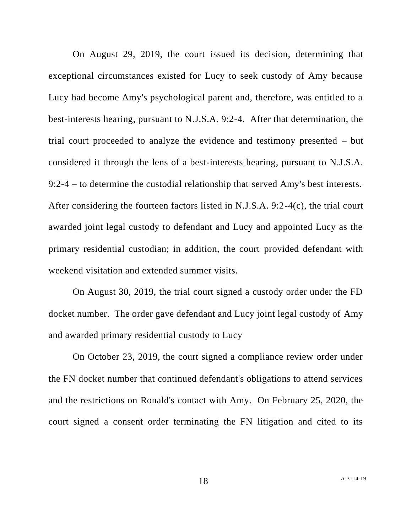On August 29, 2019, the court issued its decision, determining that exceptional circumstances existed for Lucy to seek custody of Amy because Lucy had become Amy's psychological parent and, therefore, was entitled to a best-interests hearing, pursuant to N.J.S.A. 9:2-4. After that determination, the trial court proceeded to analyze the evidence and testimony presented – but considered it through the lens of a best-interests hearing, pursuant to N.J.S.A. 9:2-4 – to determine the custodial relationship that served Amy's best interests. After considering the fourteen factors listed in N.J.S.A. 9:2-4(c), the trial court awarded joint legal custody to defendant and Lucy and appointed Lucy as the primary residential custodian; in addition, the court provided defendant with weekend visitation and extended summer visits.

On August 30, 2019, the trial court signed a custody order under the FD docket number. The order gave defendant and Lucy joint legal custody of Amy and awarded primary residential custody to Lucy

On October 23, 2019, the court signed a compliance review order under the FN docket number that continued defendant's obligations to attend services and the restrictions on Ronald's contact with Amy. On February 25, 2020, the court signed a consent order terminating the FN litigation and cited to its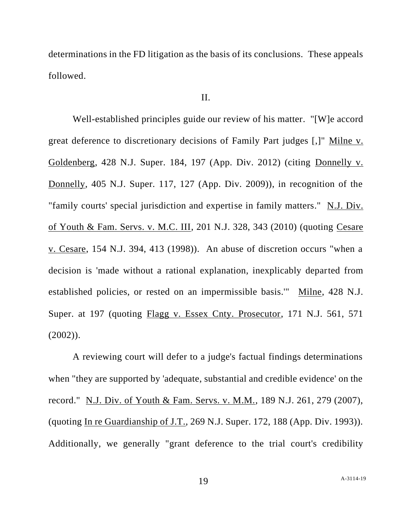determinations in the FD litigation as the basis of its conclusions. These appeals followed.

#### II.

Well-established principles guide our review of his matter. "[W]e accord great deference to discretionary decisions of Family Part judges [,]" Milne v. Goldenberg, 428 N.J. Super. 184, 197 (App. Div. 2012) (citing Donnelly v. Donnelly, 405 N.J. Super. 117, 127 (App. Div. 2009)), in recognition of the "family courts' special jurisdiction and expertise in family matters." N.J. Div. of Youth & Fam. Servs. v. M.C. III, 201 N.J. 328, 343 (2010) (quoting Cesare v. Cesare, 154 N.J. 394, 413 (1998)). An abuse of discretion occurs "when a decision is 'made without a rational explanation, inexplicably departed from established policies, or rested on an impermissible basis.'" Milne, 428 N.J. Super. at 197 (quoting Flagg v. Essex Cnty. Prosecutor, 171 N.J. 561, 571  $(2002)$ ).

A reviewing court will defer to a judge's factual findings determinations when "they are supported by 'adequate, substantial and credible evidence' on the record." N.J. Div. of Youth & Fam. Servs. v. M.M., 189 N.J. 261, 279 (2007), (quoting In re Guardianship of J.T., 269 N.J. Super. 172, 188 (App. Div. 1993)). Additionally, we generally "grant deference to the trial court's credibility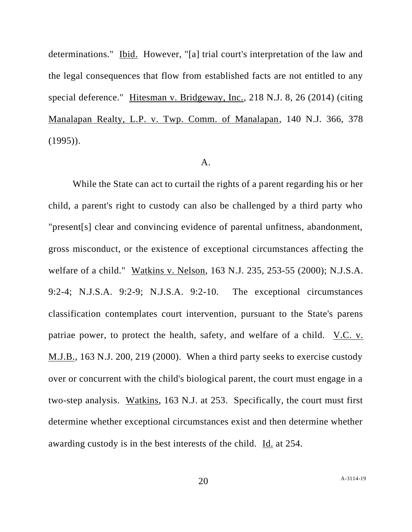determinations." Ibid. However, "[a] trial court's interpretation of the law and the legal consequences that flow from established facts are not entitled to any special deference." Hitesman v. Bridgeway, Inc., 218 N.J. 8, 26 (2014) (citing Manalapan Realty, L.P. v. Twp. Comm. of Manalapan, 140 N.J. 366, 378  $(1995)$ .

## A.

While the State can act to curtail the rights of a parent regarding his or her child, a parent's right to custody can also be challenged by a third party who "present[s] clear and convincing evidence of parental unfitness, abandonment, gross misconduct, or the existence of exceptional circumstances affecting the welfare of a child." Watkins v. Nelson, 163 N.J. 235, 253-55 (2000); N.J.S.A. 9:2-4; N.J.S.A. 9:2-9; N.J.S.A. 9:2-10. The exceptional circumstances classification contemplates court intervention, pursuant to the State's parens patriae power, to protect the health, safety, and welfare of a child. <u>V.C. v.</u> M.J.B., 163 N.J. 200, 219 (2000). When a third party seeks to exercise custody over or concurrent with the child's biological parent, the court must engage in a two-step analysis. Watkins, 163 N.J. at 253. Specifically, the court must first determine whether exceptional circumstances exist and then determine whether awarding custody is in the best interests of the child. Id. at 254.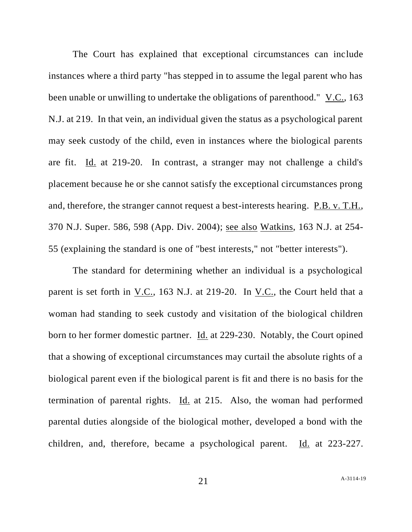The Court has explained that exceptional circumstances can include instances where a third party "has stepped in to assume the legal parent who has been unable or unwilling to undertake the obligations of parenthood." V.C., 163 N.J. at 219. In that vein, an individual given the status as a psychological parent may seek custody of the child, even in instances where the biological parents are fit. Id. at 219-20. In contrast, a stranger may not challenge a child's placement because he or she cannot satisfy the exceptional circumstances prong and, therefore, the stranger cannot request a best-interests hearing. P.B. v. T.H., 370 N.J. Super. 586, 598 (App. Div. 2004); see also Watkins, 163 N.J. at 254- 55 (explaining the standard is one of "best interests," not "better interests").

The standard for determining whether an individual is a psychological parent is set forth in V.C., 163 N.J. at 219-20. In V.C., the Court held that a woman had standing to seek custody and visitation of the biological children born to her former domestic partner. <u>Id.</u> at 229-230. Notably, the Court opined that a showing of exceptional circumstances may curtail the absolute rights of a biological parent even if the biological parent is fit and there is no basis for the termination of parental rights. Id. at 215. Also, the woman had performed parental duties alongside of the biological mother, developed a bond with the children, and, therefore, became a psychological parent. Id. at 223-227.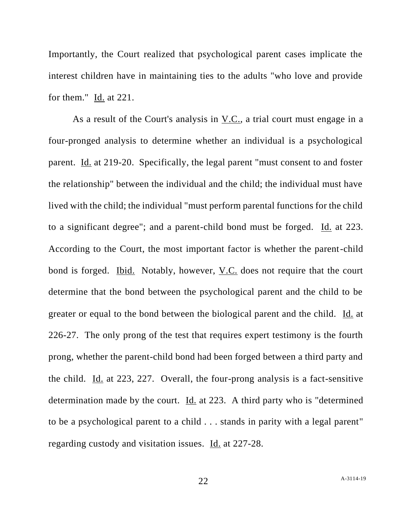Importantly, the Court realized that psychological parent cases implicate the interest children have in maintaining ties to the adults "who love and provide for them." Id. at 221.

As a result of the Court's analysis in V.C., a trial court must engage in a four-pronged analysis to determine whether an individual is a psychological parent. Id. at 219-20. Specifically, the legal parent "must consent to and foster the relationship" between the individual and the child; the individual must have lived with the child; the individual "must perform parental functions for the child to a significant degree"; and a parent-child bond must be forged. Id. at 223. According to the Court, the most important factor is whether the parent-child bond is forged. Ibid. Notably, however, V.C. does not require that the court determine that the bond between the psychological parent and the child to be greater or equal to the bond between the biological parent and the child. Id. at 226-27. The only prong of the test that requires expert testimony is the fourth prong, whether the parent-child bond had been forged between a third party and the child. Id. at 223, 227. Overall, the four-prong analysis is a fact-sensitive determination made by the court. Id. at 223. A third party who is "determined to be a psychological parent to a child . . . stands in parity with a legal parent" regarding custody and visitation issues. Id. at 227-28.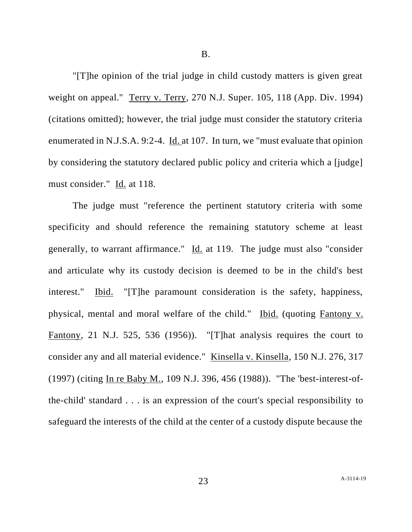B.

"[T]he opinion of the trial judge in child custody matters is given great weight on appeal." Terry v. Terry, 270 N.J. Super. 105, 118 (App. Div. 1994) (citations omitted); however, the trial judge must consider the statutory criteria enumerated in N.J.S.A. 9:2-4. Id. at 107. In turn, we "must evaluate that opinion by considering the statutory declared public policy and criteria which a [judge] must consider." Id. at 118.

The judge must "reference the pertinent statutory criteria with some specificity and should reference the remaining statutory scheme at least generally, to warrant affirmance." Id. at 119. The judge must also "consider and articulate why its custody decision is deemed to be in the child's best interest." Ibid. "[T]he paramount consideration is the safety, happiness, physical, mental and moral welfare of the child." Ibid. (quoting Fantony v. Fantony, 21 N.J. 525, 536 (1956)). "[T]hat analysis requires the court to consider any and all material evidence." Kinsella v. Kinsella, 150 N.J. 276, 317 (1997) (citing In re Baby M., 109 N.J. 396, 456 (1988)). "The 'best-interest-ofthe-child' standard . . . is an expression of the court's special responsibility to safeguard the interests of the child at the center of a custody dispute because the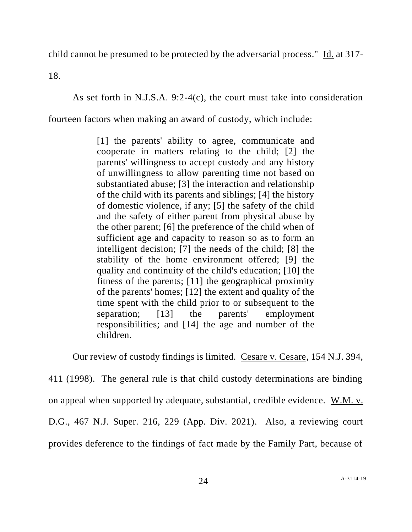child cannot be presumed to be protected by the adversarial process." Id. at 317-

18.

As set forth in N.J.S.A. 9:2-4(c), the court must take into consideration

fourteen factors when making an award of custody, which include:

[1] the parents' ability to agree, communicate and cooperate in matters relating to the child; [2] the parents' willingness to accept custody and any history of unwillingness to allow parenting time not based on substantiated abuse; [3] the interaction and relationship of the child with its parents and siblings; [4] the history of domestic violence, if any; [5] the safety of the child and the safety of either parent from physical abuse by the other parent; [6] the preference of the child when of sufficient age and capacity to reason so as to form an intelligent decision; [7] the needs of the child; [8] the stability of the home environment offered; [9] the quality and continuity of the child's education; [10] the fitness of the parents; [11] the geographical proximity of the parents' homes; [12] the extent and quality of the time spent with the child prior to or subsequent to the separation; [13] the parents' employment responsibilities; and [14] the age and number of the children.

Our review of custody findings is limited. Cesare v. Cesare, 154 N.J. 394,

411 (1998). The general rule is that child custody determinations are binding on appeal when supported by adequate, substantial, credible evidence. W.M. v. D.G., 467 N.J. Super. 216, 229 (App. Div. 2021). Also, a reviewing court provides deference to the findings of fact made by the Family Part, because of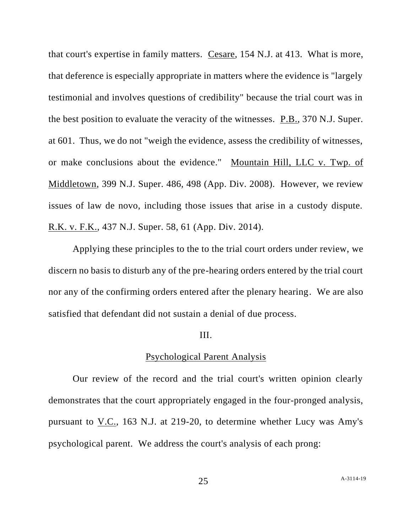that court's expertise in family matters. Cesare, 154 N.J. at 413. What is more, that deference is especially appropriate in matters where the evidence is "largely testimonial and involves questions of credibility" because the trial court was in the best position to evaluate the veracity of the witnesses. P.B., 370 N.J. Super. at 601. Thus, we do not "weigh the evidence, assess the credibility of witnesses, or make conclusions about the evidence." Mountain Hill, LLC v. Twp. of Middletown, 399 N.J. Super. 486, 498 (App. Div. 2008). However, we review issues of law de novo, including those issues that arise in a custody dispute. R.K. v. F.K., 437 N.J. Super. 58, 61 (App. Div. 2014).

Applying these principles to the to the trial court orders under review, we discern no basis to disturb any of the pre-hearing orders entered by the trial court nor any of the confirming orders entered after the plenary hearing. We are also satisfied that defendant did not sustain a denial of due process.

## III.

## Psychological Parent Analysis

Our review of the record and the trial court's written opinion clearly demonstrates that the court appropriately engaged in the four-pronged analysis, pursuant to V.C., 163 N.J. at 219-20, to determine whether Lucy was Amy's psychological parent. We address the court's analysis of each prong: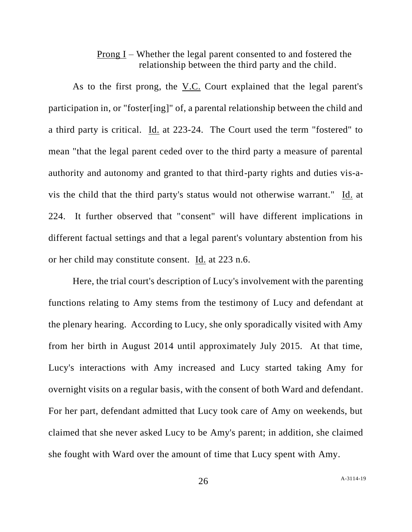## Prong I – Whether the legal parent consented to and fostered the relationship between the third party and the child.

As to the first prong, the V.C. Court explained that the legal parent's participation in, or "foster[ing]" of, a parental relationship between the child and a third party is critical. Id. at 223-24. The Court used the term "fostered" to mean "that the legal parent ceded over to the third party a measure of parental authority and autonomy and granted to that third-party rights and duties vis-avis the child that the third party's status would not otherwise warrant." Id. at 224. It further observed that "consent" will have different implications in different factual settings and that a legal parent's voluntary abstention from his or her child may constitute consent. Id. at 223 n.6.

Here, the trial court's description of Lucy's involvement with the parenting functions relating to Amy stems from the testimony of Lucy and defendant at the plenary hearing. According to Lucy, she only sporadically visited with Amy from her birth in August 2014 until approximately July 2015. At that time, Lucy's interactions with Amy increased and Lucy started taking Amy for overnight visits on a regular basis, with the consent of both Ward and defendant. For her part, defendant admitted that Lucy took care of Amy on weekends, but claimed that she never asked Lucy to be Amy's parent; in addition, she claimed she fought with Ward over the amount of time that Lucy spent with Amy.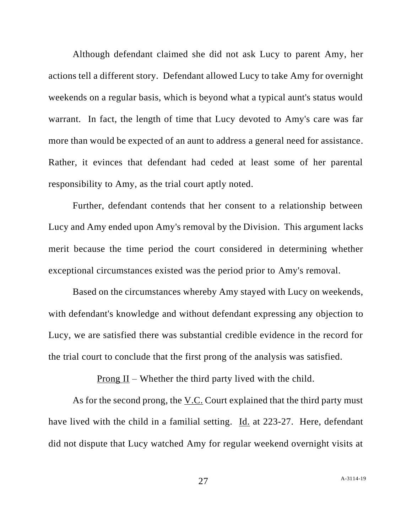Although defendant claimed she did not ask Lucy to parent Amy, her actions tell a different story. Defendant allowed Lucy to take Amy for overnight weekends on a regular basis, which is beyond what a typical aunt's status would warrant. In fact, the length of time that Lucy devoted to Amy's care was far more than would be expected of an aunt to address a general need for assistance. Rather, it evinces that defendant had ceded at least some of her parental responsibility to Amy, as the trial court aptly noted.

Further, defendant contends that her consent to a relationship between Lucy and Amy ended upon Amy's removal by the Division. This argument lacks merit because the time period the court considered in determining whether exceptional circumstances existed was the period prior to Amy's removal.

Based on the circumstances whereby Amy stayed with Lucy on weekends, with defendant's knowledge and without defendant expressing any objection to Lucy, we are satisfied there was substantial credible evidence in the record for the trial court to conclude that the first prong of the analysis was satisfied.

Prong II – Whether the third party lived with the child.

As for the second prong, the V.C. Court explained that the third party must have lived with the child in a familial setting. Id. at 223-27. Here, defendant did not dispute that Lucy watched Amy for regular weekend overnight visits at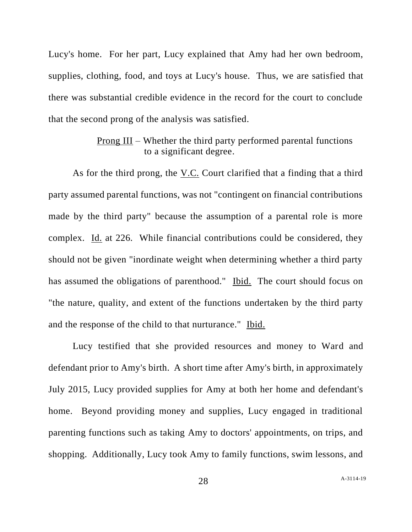Lucy's home. For her part, Lucy explained that Amy had her own bedroom, supplies, clothing, food, and toys at Lucy's house. Thus, we are satisfied that there was substantial credible evidence in the record for the court to conclude that the second prong of the analysis was satisfied.

# Prong III – Whether the third party performed parental functions to a significant degree.

As for the third prong, the  $V.C.$  Court clarified that a finding that a third party assumed parental functions, was not "contingent on financial contributions made by the third party" because the assumption of a parental role is more complex. Id. at 226. While financial contributions could be considered, they should not be given "inordinate weight when determining whether a third party has assumed the obligations of parenthood." Ibid. The court should focus on "the nature, quality, and extent of the functions undertaken by the third party and the response of the child to that nurturance." Ibid.

Lucy testified that she provided resources and money to Ward and defendant prior to Amy's birth. A short time after Amy's birth, in approximately July 2015, Lucy provided supplies for Amy at both her home and defendant's home. Beyond providing money and supplies, Lucy engaged in traditional parenting functions such as taking Amy to doctors' appointments, on trips, and shopping. Additionally, Lucy took Amy to family functions, swim lessons, and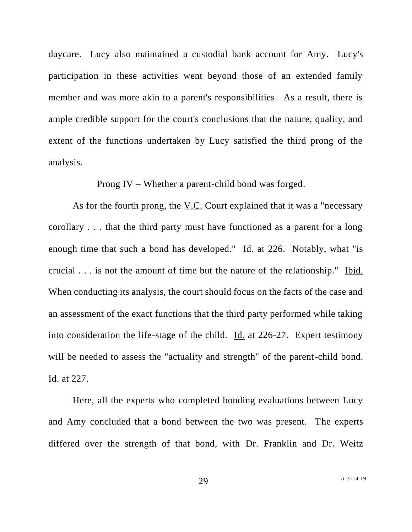daycare. Lucy also maintained a custodial bank account for Amy. Lucy's participation in these activities went beyond those of an extended family member and was more akin to a parent's responsibilities. As a result, there is ample credible support for the court's conclusions that the nature, quality, and extent of the functions undertaken by Lucy satisfied the third prong of the analysis.

Prong IV – Whether a parent-child bond was forged.

As for the fourth prong, the V.C. Court explained that it was a "necessary corollary . . . that the third party must have functioned as a parent for a long enough time that such a bond has developed." Id. at 226. Notably, what "is crucial . . . is not the amount of time but the nature of the relationship." Ibid. When conducting its analysis, the court should focus on the facts of the case and an assessment of the exact functions that the third party performed while taking into consideration the life-stage of the child. Id. at 226-27. Expert testimony will be needed to assess the "actuality and strength" of the parent-child bond. Id. at 227.

Here, all the experts who completed bonding evaluations between Lucy and Amy concluded that a bond between the two was present. The experts differed over the strength of that bond, with Dr. Franklin and Dr. Weitz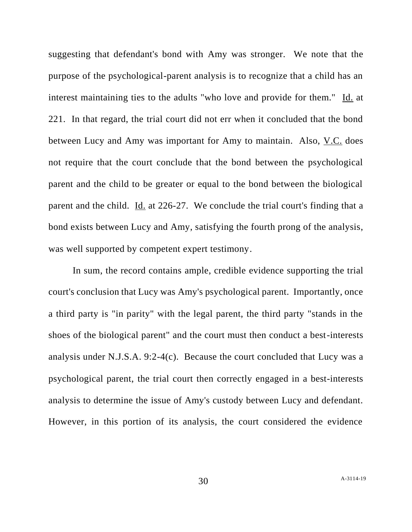suggesting that defendant's bond with Amy was stronger. We note that the purpose of the psychological-parent analysis is to recognize that a child has an interest maintaining ties to the adults "who love and provide for them." Id. at 221. In that regard, the trial court did not err when it concluded that the bond between Lucy and Amy was important for Amy to maintain. Also, V.C. does not require that the court conclude that the bond between the psychological parent and the child to be greater or equal to the bond between the biological parent and the child. Id. at 226-27. We conclude the trial court's finding that a bond exists between Lucy and Amy, satisfying the fourth prong of the analysis, was well supported by competent expert testimony.

In sum, the record contains ample, credible evidence supporting the trial court's conclusion that Lucy was Amy's psychological parent. Importantly, once a third party is "in parity" with the legal parent, the third party "stands in the shoes of the biological parent" and the court must then conduct a best-interests analysis under N.J.S.A. 9:2-4(c). Because the court concluded that Lucy was a psychological parent, the trial court then correctly engaged in a best-interests analysis to determine the issue of Amy's custody between Lucy and defendant. However, in this portion of its analysis, the court considered the evidence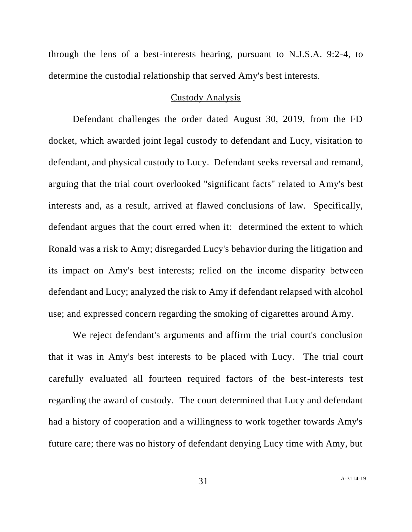through the lens of a best-interests hearing, pursuant to N.J.S.A. 9:2-4, to determine the custodial relationship that served Amy's best interests.

## Custody Analysis

Defendant challenges the order dated August 30, 2019, from the FD docket, which awarded joint legal custody to defendant and Lucy, visitation to defendant, and physical custody to Lucy. Defendant seeks reversal and remand, arguing that the trial court overlooked "significant facts" related to Amy's best interests and, as a result, arrived at flawed conclusions of law. Specifically, defendant argues that the court erred when it: determined the extent to which Ronald was a risk to Amy; disregarded Lucy's behavior during the litigation and its impact on Amy's best interests; relied on the income disparity between defendant and Lucy; analyzed the risk to Amy if defendant relapsed with alcohol use; and expressed concern regarding the smoking of cigarettes around Amy.

We reject defendant's arguments and affirm the trial court's conclusion that it was in Amy's best interests to be placed with Lucy. The trial court carefully evaluated all fourteen required factors of the best-interests test regarding the award of custody. The court determined that Lucy and defendant had a history of cooperation and a willingness to work together towards Amy's future care; there was no history of defendant denying Lucy time with Amy, but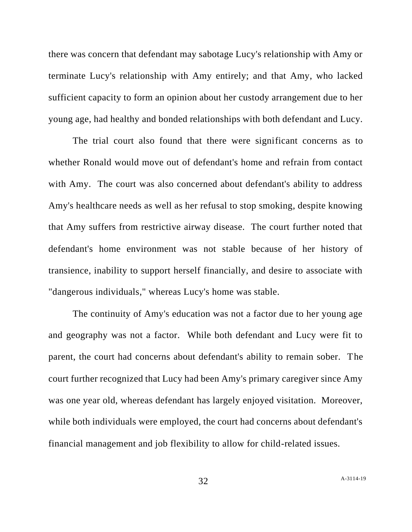there was concern that defendant may sabotage Lucy's relationship with Amy or terminate Lucy's relationship with Amy entirely; and that Amy, who lacked sufficient capacity to form an opinion about her custody arrangement due to her young age, had healthy and bonded relationships with both defendant and Lucy.

The trial court also found that there were significant concerns as to whether Ronald would move out of defendant's home and refrain from contact with Amy. The court was also concerned about defendant's ability to address Amy's healthcare needs as well as her refusal to stop smoking, despite knowing that Amy suffers from restrictive airway disease. The court further noted that defendant's home environment was not stable because of her history of transience, inability to support herself financially, and desire to associate with "dangerous individuals," whereas Lucy's home was stable.

The continuity of Amy's education was not a factor due to her young age and geography was not a factor. While both defendant and Lucy were fit to parent, the court had concerns about defendant's ability to remain sober. The court further recognized that Lucy had been Amy's primary caregiver since Amy was one year old, whereas defendant has largely enjoyed visitation. Moreover, while both individuals were employed, the court had concerns about defendant's financial management and job flexibility to allow for child-related issues.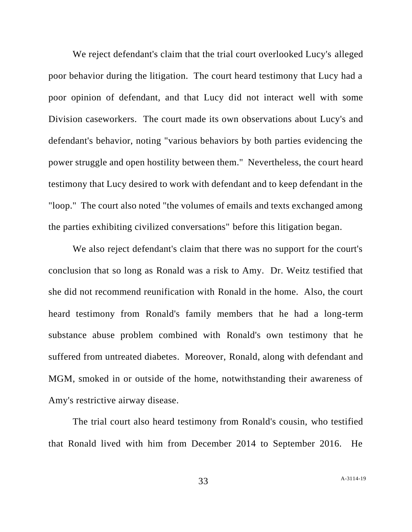We reject defendant's claim that the trial court overlooked Lucy's alleged poor behavior during the litigation. The court heard testimony that Lucy had a poor opinion of defendant, and that Lucy did not interact well with some Division caseworkers. The court made its own observations about Lucy's and defendant's behavior, noting "various behaviors by both parties evidencing the power struggle and open hostility between them." Nevertheless, the court heard testimony that Lucy desired to work with defendant and to keep defendant in the "loop." The court also noted "the volumes of emails and texts exchanged among the parties exhibiting civilized conversations" before this litigation began.

We also reject defendant's claim that there was no support for the court's conclusion that so long as Ronald was a risk to Amy. Dr. Weitz testified that she did not recommend reunification with Ronald in the home. Also, the court heard testimony from Ronald's family members that he had a long-term substance abuse problem combined with Ronald's own testimony that he suffered from untreated diabetes. Moreover, Ronald, along with defendant and MGM, smoked in or outside of the home, notwithstanding their awareness of Amy's restrictive airway disease.

The trial court also heard testimony from Ronald's cousin, who testified that Ronald lived with him from December 2014 to September 2016. He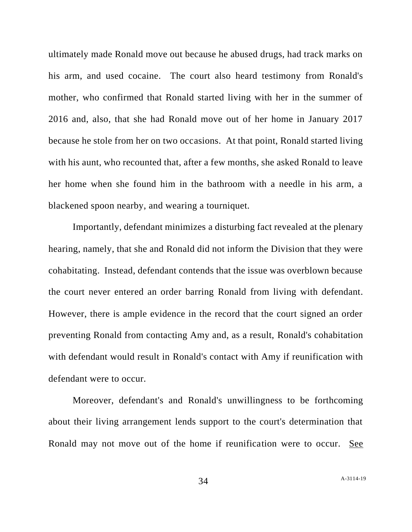ultimately made Ronald move out because he abused drugs, had track marks on his arm, and used cocaine. The court also heard testimony from Ronald's mother, who confirmed that Ronald started living with her in the summer of 2016 and, also, that she had Ronald move out of her home in January 2017 because he stole from her on two occasions. At that point, Ronald started living with his aunt, who recounted that, after a few months, she asked Ronald to leave her home when she found him in the bathroom with a needle in his arm, a blackened spoon nearby, and wearing a tourniquet.

Importantly, defendant minimizes a disturbing fact revealed at the plenary hearing, namely, that she and Ronald did not inform the Division that they were cohabitating. Instead, defendant contends that the issue was overblown because the court never entered an order barring Ronald from living with defendant. However, there is ample evidence in the record that the court signed an order preventing Ronald from contacting Amy and, as a result, Ronald's cohabitation with defendant would result in Ronald's contact with Amy if reunification with defendant were to occur.

Moreover, defendant's and Ronald's unwillingness to be forthcoming about their living arrangement lends support to the court's determination that Ronald may not move out of the home if reunification were to occur. See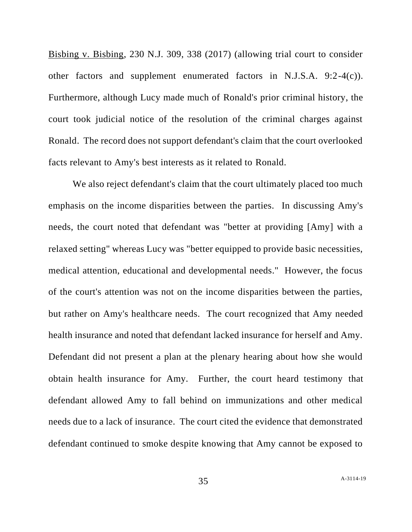Bisbing v. Bisbing, 230 N.J. 309, 338 (2017) (allowing trial court to consider other factors and supplement enumerated factors in N.J.S.A. 9:2-4(c)). Furthermore, although Lucy made much of Ronald's prior criminal history, the court took judicial notice of the resolution of the criminal charges against Ronald. The record does not support defendant's claim that the court overlooked facts relevant to Amy's best interests as it related to Ronald.

We also reject defendant's claim that the court ultimately placed too much emphasis on the income disparities between the parties. In discussing Amy's needs, the court noted that defendant was "better at providing [Amy] with a relaxed setting" whereas Lucy was "better equipped to provide basic necessities, medical attention, educational and developmental needs." However, the focus of the court's attention was not on the income disparities between the parties, but rather on Amy's healthcare needs. The court recognized that Amy needed health insurance and noted that defendant lacked insurance for herself and Amy. Defendant did not present a plan at the plenary hearing about how she would obtain health insurance for Amy. Further, the court heard testimony that defendant allowed Amy to fall behind on immunizations and other medical needs due to a lack of insurance. The court cited the evidence that demonstrated defendant continued to smoke despite knowing that Amy cannot be exposed to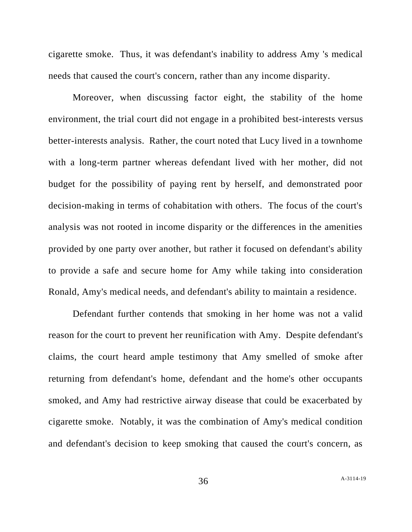cigarette smoke. Thus, it was defendant's inability to address Amy 's medical needs that caused the court's concern, rather than any income disparity.

Moreover, when discussing factor eight, the stability of the home environment, the trial court did not engage in a prohibited best-interests versus better-interests analysis. Rather, the court noted that Lucy lived in a townhome with a long-term partner whereas defendant lived with her mother, did not budget for the possibility of paying rent by herself, and demonstrated poor decision-making in terms of cohabitation with others. The focus of the court's analysis was not rooted in income disparity or the differences in the amenities provided by one party over another, but rather it focused on defendant's ability to provide a safe and secure home for Amy while taking into consideration Ronald, Amy's medical needs, and defendant's ability to maintain a residence.

Defendant further contends that smoking in her home was not a valid reason for the court to prevent her reunification with Amy. Despite defendant's claims, the court heard ample testimony that Amy smelled of smoke after returning from defendant's home, defendant and the home's other occupants smoked, and Amy had restrictive airway disease that could be exacerbated by cigarette smoke. Notably, it was the combination of Amy's medical condition and defendant's decision to keep smoking that caused the court's concern, as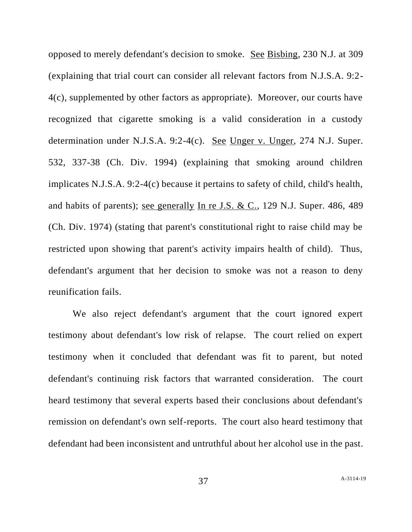opposed to merely defendant's decision to smoke. See Bisbing, 230 N.J. at 309 (explaining that trial court can consider all relevant factors from N.J.S.A. 9:2- 4(c), supplemented by other factors as appropriate). Moreover, our courts have recognized that cigarette smoking is a valid consideration in a custody determination under N.J.S.A. 9:2-4(c). See Unger v. Unger, 274 N.J. Super. 532, 337-38 (Ch. Div. 1994) (explaining that smoking around children implicates N.J.S.A. 9:2-4(c) because it pertains to safety of child, child's health, and habits of parents); see generally In re J.S. & C., 129 N.J. Super. 486, 489 (Ch. Div. 1974) (stating that parent's constitutional right to raise child may be restricted upon showing that parent's activity impairs health of child). Thus, defendant's argument that her decision to smoke was not a reason to deny reunification fails.

We also reject defendant's argument that the court ignored expert testimony about defendant's low risk of relapse. The court relied on expert testimony when it concluded that defendant was fit to parent, but noted defendant's continuing risk factors that warranted consideration. The court heard testimony that several experts based their conclusions about defendant's remission on defendant's own self-reports. The court also heard testimony that defendant had been inconsistent and untruthful about her alcohol use in the past.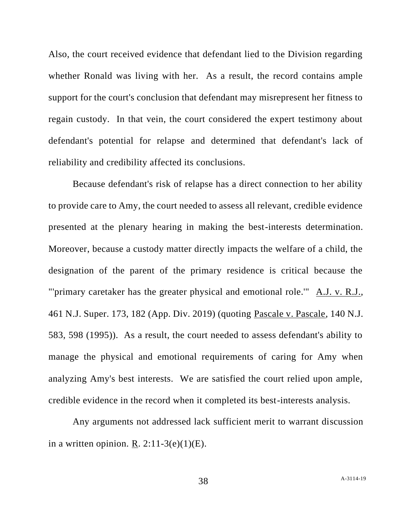Also, the court received evidence that defendant lied to the Division regarding whether Ronald was living with her. As a result, the record contains ample support for the court's conclusion that defendant may misrepresent her fitness to regain custody. In that vein, the court considered the expert testimony about defendant's potential for relapse and determined that defendant's lack of reliability and credibility affected its conclusions.

Because defendant's risk of relapse has a direct connection to her ability to provide care to Amy, the court needed to assess all relevant, credible evidence presented at the plenary hearing in making the best-interests determination. Moreover, because a custody matter directly impacts the welfare of a child, the designation of the parent of the primary residence is critical because the "'primary caretaker has the greater physical and emotional role.'" A.J. v. R.J., 461 N.J. Super. 173, 182 (App. Div. 2019) (quoting Pascale v. Pascale, 140 N.J. 583, 598 (1995)). As a result, the court needed to assess defendant's ability to manage the physical and emotional requirements of caring for Amy when analyzing Amy's best interests. We are satisfied the court relied upon ample, credible evidence in the record when it completed its best-interests analysis.

Any arguments not addressed lack sufficient merit to warrant discussion in a written opinion. R.  $2:11-3(e)(1)(E)$ .